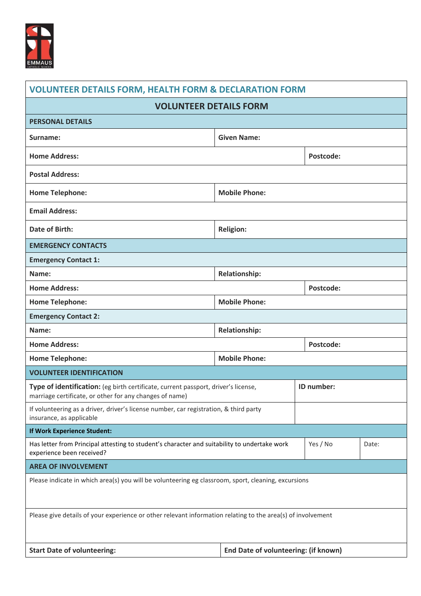

| <b>VOLUNTEER DETAILS FORM, HEALTH FORM &amp; DECLARATION FORM</b>                                                                             |                                      |  |            |       |  |
|-----------------------------------------------------------------------------------------------------------------------------------------------|--------------------------------------|--|------------|-------|--|
| <b>VOLUNTEER DETAILS FORM</b>                                                                                                                 |                                      |  |            |       |  |
| <b>PERSONAL DETAILS</b>                                                                                                                       |                                      |  |            |       |  |
| Surname:                                                                                                                                      | <b>Given Name:</b>                   |  |            |       |  |
| <b>Home Address:</b>                                                                                                                          | Postcode:                            |  |            |       |  |
| <b>Postal Address:</b>                                                                                                                        |                                      |  |            |       |  |
| <b>Home Telephone:</b>                                                                                                                        | <b>Mobile Phone:</b>                 |  |            |       |  |
| <b>Email Address:</b>                                                                                                                         |                                      |  |            |       |  |
| Date of Birth:                                                                                                                                | <b>Religion:</b>                     |  |            |       |  |
| <b>EMERGENCY CONTACTS</b>                                                                                                                     |                                      |  |            |       |  |
| <b>Emergency Contact 1:</b>                                                                                                                   |                                      |  |            |       |  |
| Name:                                                                                                                                         | <b>Relationship:</b>                 |  |            |       |  |
| <b>Home Address:</b>                                                                                                                          | Postcode:                            |  |            |       |  |
| <b>Home Telephone:</b>                                                                                                                        | <b>Mobile Phone:</b>                 |  |            |       |  |
| <b>Emergency Contact 2:</b>                                                                                                                   |                                      |  |            |       |  |
| Name:                                                                                                                                         | <b>Relationship:</b>                 |  |            |       |  |
| <b>Home Address:</b>                                                                                                                          | Postcode:                            |  |            |       |  |
| <b>Home Telephone:</b>                                                                                                                        | <b>Mobile Phone:</b>                 |  |            |       |  |
| <b>VOLUNTEER IDENTIFICATION</b>                                                                                                               |                                      |  |            |       |  |
| Type of identification: (eg birth certificate, current passport, driver's license,<br>marriage certificate, or other for any changes of name) |                                      |  | ID number: |       |  |
| If volunteering as a driver, driver's license number, car registration, & third party<br>insurance, as applicable                             |                                      |  |            |       |  |
| If Work Experience Student:                                                                                                                   |                                      |  |            |       |  |
| Has letter from Principal attesting to student's character and suitability to undertake work<br>experience been received?                     |                                      |  | Yes / No   | Date: |  |
| <b>AREA OF INVOLVEMENT</b>                                                                                                                    |                                      |  |            |       |  |
| Please indicate in which area(s) you will be volunteering eg classroom, sport, cleaning, excursions                                           |                                      |  |            |       |  |
| Please give details of your experience or other relevant information relating to the area(s) of involvement                                   |                                      |  |            |       |  |
| <b>Start Date of volunteering:</b>                                                                                                            | End Date of volunteering: (if known) |  |            |       |  |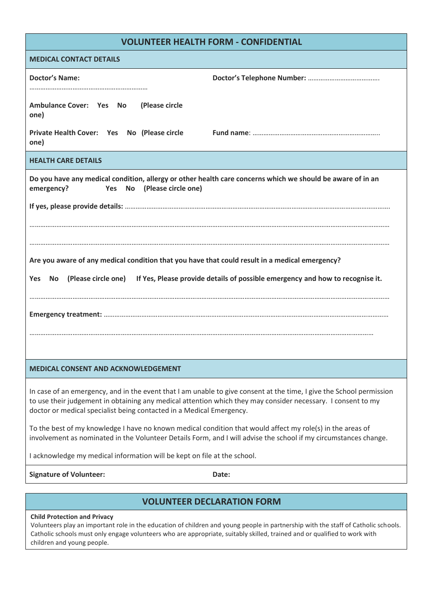| <b>MEDICAL CONTACT DETAILS</b>                                                                                                                         |                                                                                                      |  |  |  |
|--------------------------------------------------------------------------------------------------------------------------------------------------------|------------------------------------------------------------------------------------------------------|--|--|--|
| <b>Doctor's Name:</b>                                                                                                                                  |                                                                                                      |  |  |  |
| Ambulance Cover: Yes No<br>(Please circle<br>one)                                                                                                      |                                                                                                      |  |  |  |
| Private Health Cover: Yes No (Please circle<br>one)                                                                                                    |                                                                                                      |  |  |  |
| <b>HEALTH CARE DETAILS</b>                                                                                                                             |                                                                                                      |  |  |  |
| Do you have any medical condition, allergy or other health care concerns which we should be aware of in an<br>Yes No (Please circle one)<br>emergency? |                                                                                                      |  |  |  |
|                                                                                                                                                        |                                                                                                      |  |  |  |
|                                                                                                                                                        |                                                                                                      |  |  |  |
|                                                                                                                                                        |                                                                                                      |  |  |  |
| Are you aware of any medical condition that you have that could result in a medical emergency?                                                         |                                                                                                      |  |  |  |
| <b>Yes</b>                                                                                                                                             | No (Please circle one) If Yes, Please provide details of possible emergency and how to recognise it. |  |  |  |
|                                                                                                                                                        |                                                                                                      |  |  |  |
|                                                                                                                                                        |                                                                                                      |  |  |  |

## **MEDICAL CONSENT AND ACKNOWLEDGEMENT**

In case of an emergency, and in the event that I am unable to give consent at the time, I give the School permission to use their judgement in obtaining any medical attention which they may consider necessary. I consent to my doctor or medical specialist being contacted in a Medical Emergency.

To the best of my knowledge I have no known medical condition that would affect my role(s) in the areas of involvement as nominated in the Volunteer Details Form, and I will advise the school if my circumstances change.

I acknowledge my medical information will be kept on file at the school.

**Signature of Volunteer: Date: Date: Date:** 

## **VOLUNTEER DECLARATION FORM**

## **Child Protection and Privacy**

Volunteers play an important role in the education of children and young people in partnership with the staff of Catholic schools. Catholic schools must only engage volunteers who are appropriate, suitably skilled, trained and or qualified to work with children and young people.